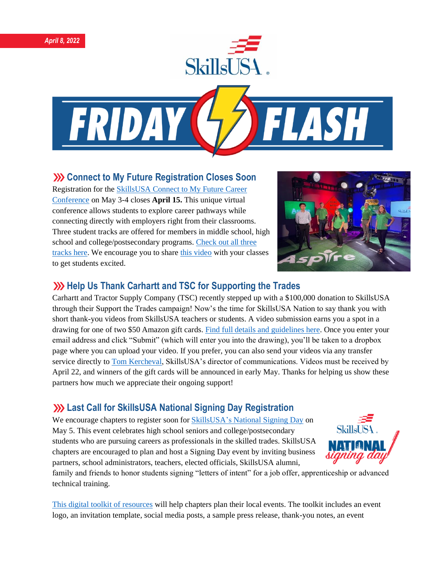



#### **XX** Connect to My Future Registration Closes Soon

Registration for the [SkillsUSA Connect to My Future Career](https://www.skillsusa-register.org/Login.aspx)  [Conference](https://www.skillsusa-register.org/Login.aspx) on May 3-4 closes **April 15.** This unique virtual conference allows students to explore career pathways while connecting directly with employers right from their classrooms. Three student tracks are offered for members in middle school, high school and college/postsecondary programs[. Check out all three](https://www.skillsusa.org/events-training/skillsusa-connect-to-my-future-conference/)  [tracks here.](https://www.skillsusa.org/events-training/skillsusa-connect-to-my-future-conference/) We encourage you to share [this video](https://www.youtube.com/watch?v=BA3PfAy7br8) with your classes to get students excited.



#### **Welp Us Thank Carhartt and TSC for Supporting the Trades**

Carhartt and Tractor Supply Company (TSC) recently stepped up with a \$100,000 donation to SkillsUSA through their Support the Trades campaign! Now's the time for SkillsUSA Nation to say thank you with short thank-you videos from SkillsUSA teachers or students. A video submission earns you a spot in a drawing for one of two \$50 Amazon gift cards. [Find full details and guidelines here.](https://skillsusa.wufoo.com/forms/carhartttsc-thank-you-videos) Once you enter your email address and click "Submit" (which will enter you into the drawing), you'll be taken to a dropbox page where you can upload your video. If you prefer, you can also send your videos via any transfer service directly to [Tom Kercheval,](mailto:tkercheval@skillsusa.org) SkillsUSA's director of communications. Videos must be received by April 22, and winners of the gift cards will be announced in early May. Thanks for helping us show these partners how much we appreciate their ongoing support!

## **Last Call for SkillsUSA National Signing Day Registration**

We encourage chapters to register soon for SkillsUSA's [National Signing Day](https://www.skillsusa.org/events-training/national-signing-day/) on May 5. This event celebrates high school seniors and college/postsecondary students who are pursuing careers as professionals in the skilled trades. SkillsUSA chapters are encouraged to plan and host a Signing Day event by inviting business partners, school administrators, teachers, elected officials, SkillsUSA alumni,



family and friends to honor students signing "letters of intent" for a job offer, apprenticeship or advanced technical training.

[This digital toolkit of resources](https://www.skillsusa.org/events-training/national-signing-day/) will help chapters plan their local events. The toolkit includes an event logo, an invitation template, social media posts, a sample press release, thank-you notes, an event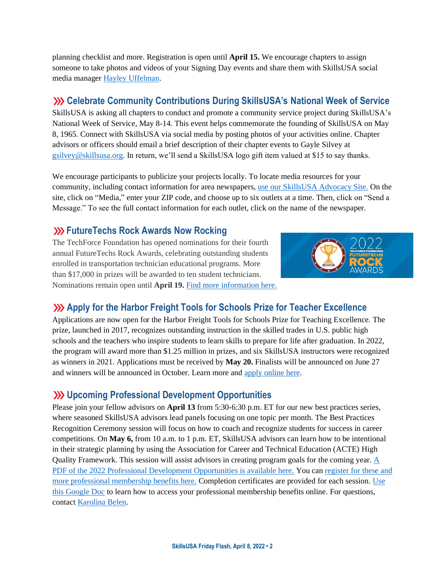planning checklist and more. Registration is open until **April 15.** We encourage chapters to assign someone to take photos and videos of your Signing Day events and share them with SkillsUSA social media manager [Hayley Uffelman.](mailto:huffelman@skillsusa.org)

## **Celebrate Community Contributions During SkillsUSA's National Week of Service**

SkillsUSA is asking all chapters to conduct and promote a community service project during SkillsUSA's National Week of Service, May 8-14. This event helps commemorate the founding of SkillsUSA on May 8, 1965. Connect with SkillsUSA via social media by posting photos of your activities online. Chapter advisors or officers should email a brief description of their chapter events to Gayle Silvey at [gsilvey@skillsusa.org.](mailto:gsilvey@skillsusa.org) In return, we'll send a SkillsUSA logo gift item valued at \$15 to say thanks.

We encourage participants to publicize your projects locally. To locate media resources for your community, including contact information for area newspapers[, use our SkillsUSA Advocacy Site.](https://www.congressweb.com/susa#/media) On the site, click on "Media," enter your ZIP code, and choose up to six outlets at a time. Then, click on "Send a Message." To see the full contact information for each outlet, click on the name of the newspaper.

#### **EXECUTE: 20 FutureTechs Rock Awards Now Rocking**

The TechForce Foundation has opened nominations for their fourth annual FutureTechs Rock Awards, celebrating outstanding students enrolled in transportation technician educational programs. More than \$17,000 in prizes will be awarded to ten student technicians. Nominations remain open until **April 19.** [Find more information here.](https://info.techforcefoundation.com/en-us/future-techs-rock-awards/2022)



### **Apply for the Harbor Freight Tools for Schools Prize for Teacher Excellence**

Applications are now open for the Harbor Freight Tools for Schools Prize for Teaching Excellence. The prize, launched in 2017, recognizes outstanding instruction in the skilled trades in U.S. public high schools and the teachers who inspire students to learn skills to prepare for life after graduation. In 2022, the program will award more than \$1.25 million in prizes, and six SkillsUSA instructors were recognized as winners in 2021. Applications must be received by **May 20.** Finalists will be announced on June 27 and winners will be announced in October. Learn more and [apply online here.](https://hftforschoolsprize.org/)

### **Upcoming Professional Development Opportunities**

Please join your fellow advisors on **April 13** from 5:30-6:30 p.m. ET for our new best practices series, where seasoned SkillsUSA advisors lead panels focusing on one topic per month. The Best Practices Recognition Ceremony session will focus on how to coach and recognize students for success in career competitions. On **May 6,** from 10 a.m. to 1 p.m. ET, SkillsUSA advisors can learn how to be intentional in their strategic planning by using the Association for Career and Technical Education (ACTE) High Quality Framework. This session will assist advisors in creating program goals for the coming year. [A](https://www.skillsusa.org/wp-content/uploads/2021/12/Professional-Development-Offerings-SPRING-2022.pdf)  [PDF of the 2022 Professional Development Opportunities is available here.](https://www.skillsusa.org/wp-content/uploads/2021/12/Professional-Development-Offerings-SPRING-2022.pdf) You can [register for these and](https://absorb.skillsusa.org/#/public-dashboard)  [more professional membership benefits here.](https://absorb.skillsusa.org/#/public-dashboard) Completion certificates are provided for each session. [Use](https://docs.google.com/document/d/1d2EvwsmdelNzm-WK7pTGSokJTbWZXcFDOODai32SGzk/edit)  [this Google Doc](https://docs.google.com/document/d/1d2EvwsmdelNzm-WK7pTGSokJTbWZXcFDOODai32SGzk/edit) to learn how to access your professional membership benefits online. For questions, contact [Karolina Belen.](mailto:kbelen@skillsusa.org)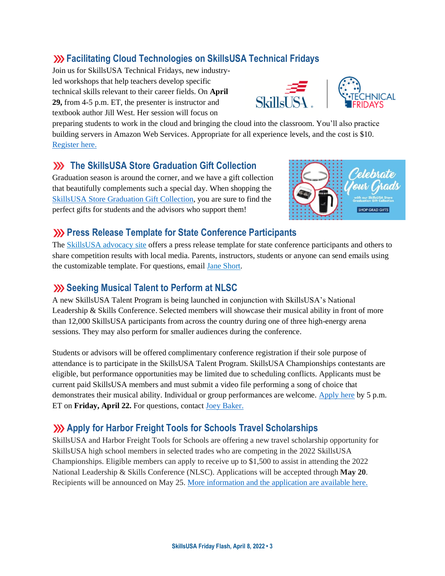## **Facilitating Cloud Technologies on SkillsUSA Technical Fridays**

Join us for SkillsUSA Technical Fridays, new industryled workshops that help teachers develop specific technical skills relevant to their career fields. On **April 29,** from 4-5 p.m. ET, the presenter is instructor and textbook author Jill West. Her session will focus on





preparing students to work in the cloud and bringing the cloud into the classroom. You'll also practice building servers in Amazon Web Services. Appropriate for all experience levels, and the cost is \$10. [Register here.](https://skillsusa.wufoo.com/forms/love-and-logic-and-technical-fridays-registration)

### **XX** The SkillsUSA Store Graduation Gift Collection

Graduation season is around the corner, and we have a gift collection that beautifully complements such a special day. When shopping the [SkillsUSA Store Graduation Gift Collection,](https://skillsusastore.org/products?s%5Bf%5D%5Bc%5D%5B%5D=%2FGraduation+Station%2FGraduation+Gift+Collection) you are sure to find the perfect gifts for students and the advisors who support them!



#### **EXECUTE:** Press Release Template for State Conference Participants

The [SkillsUSA advocacy site](https://www.congressweb.com/susa/#/) offers a press release template for state conference participants and others to share competition results with local media. Parents, instructors, students or anyone can send emails using the customizable template. For questions, emai[l Jane Short.](mailto:jshort@skillsusa.org)

#### **Seeking Musical Talent to Perform at NLSC**

A new SkillsUSA Talent Program is being launched in conjunction with SkillsUSA's National Leadership & Skills Conference. Selected members will showcase their musical ability in front of more than 12,000 SkillsUSA participants from across the country during one of three high-energy arena sessions. They may also perform for smaller audiences during the conference.

Students or advisors will be offered complimentary conference registration if their sole purpose of attendance is to participate in the SkillsUSA Talent Program. SkillsUSA Championships contestants are eligible, but performance opportunities may be limited due to scheduling conflicts. Applicants must be current paid SkillsUSA members and must submit a video file performing a song of choice that demonstrates their musical ability. Individual or group performances are welcome. [Apply here](https://skillsusa.wufoo.com/forms/r3mvb5155fzzs/) by 5 p.m. ET on Friday, April 22. For questions, contact **Joey Baker.** 

## **Apply for Harbor Freight Tools for Schools Travel Scholarships**

SkillsUSA and Harbor Freight Tools for Schools are offering a new travel scholarship opportunity for SkillsUSA high school members in selected trades who are competing in the 2022 SkillsUSA Championships. Eligible members can apply to receive up to \$1,500 to assist in attending the 2022 National Leadership & Skills Conference (NLSC). Applications will be accepted through **May 20**. Recipients will be announced on May 25. More [information](https://skillsusa.wufoo.com/forms/rjr8ngm1s8mjnq) and the application are available here.